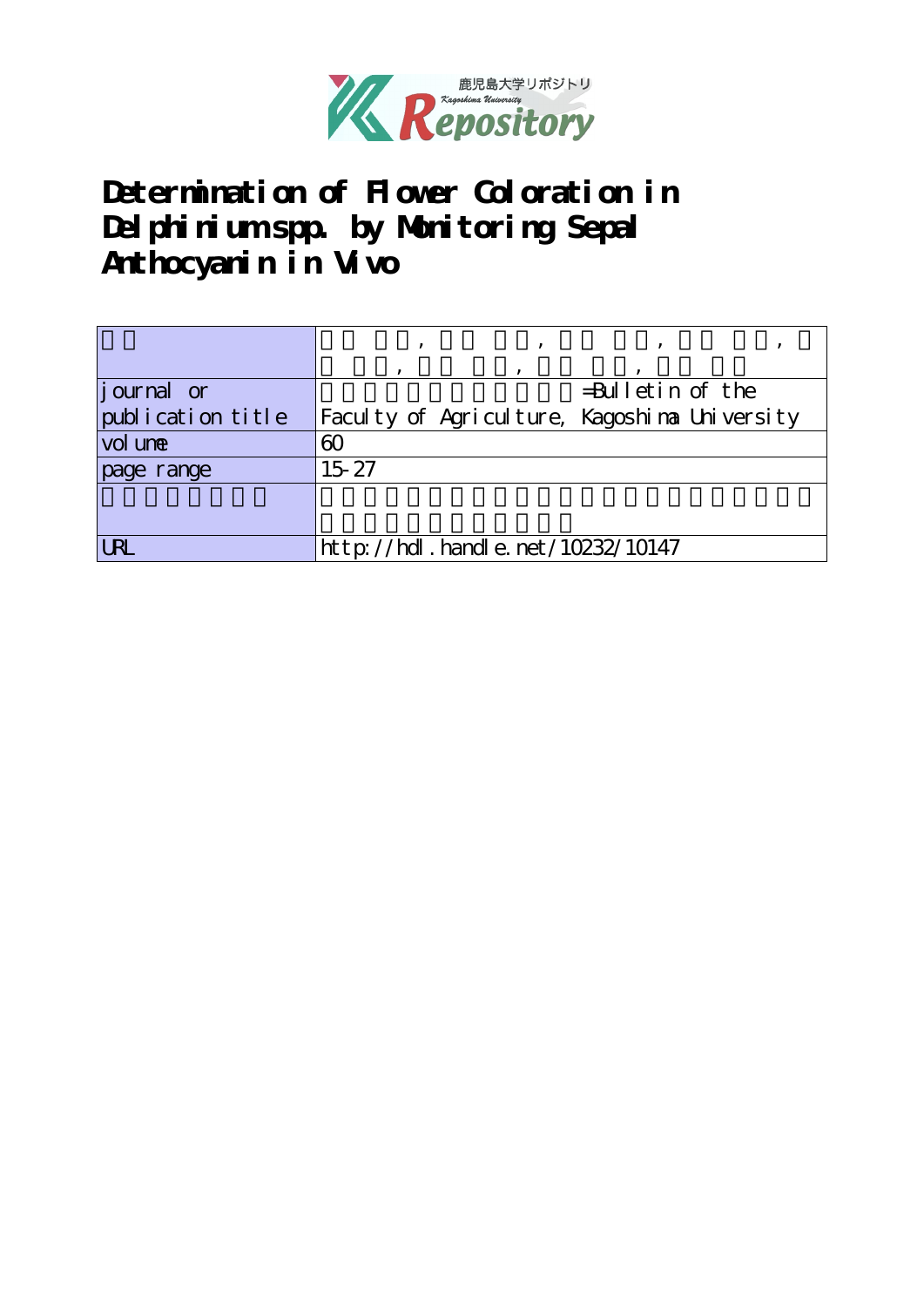

**Determination of Flower Coloration in** Del phinium spp. by Monitoring Sepal **Anthocyanin in Vivo**

|                   | ۰         | $\overline{\phantom{a}}$                     |                     |  |
|-------------------|-----------|----------------------------------------------|---------------------|--|
|                   | $\cdot$   |                                              |                     |  |
| journal or        |           |                                              | $=$ Bulletin of the |  |
| publication title |           | Faculty of Agriculture, Kagoshina University |                     |  |
| <u>vol une</u>    | 60        |                                              |                     |  |
| page range        | $15 - 27$ |                                              |                     |  |
|                   |           |                                              |                     |  |
|                   |           |                                              |                     |  |
| URL               |           | $http$ : //hdl. handle. net / 10232/10147    |                     |  |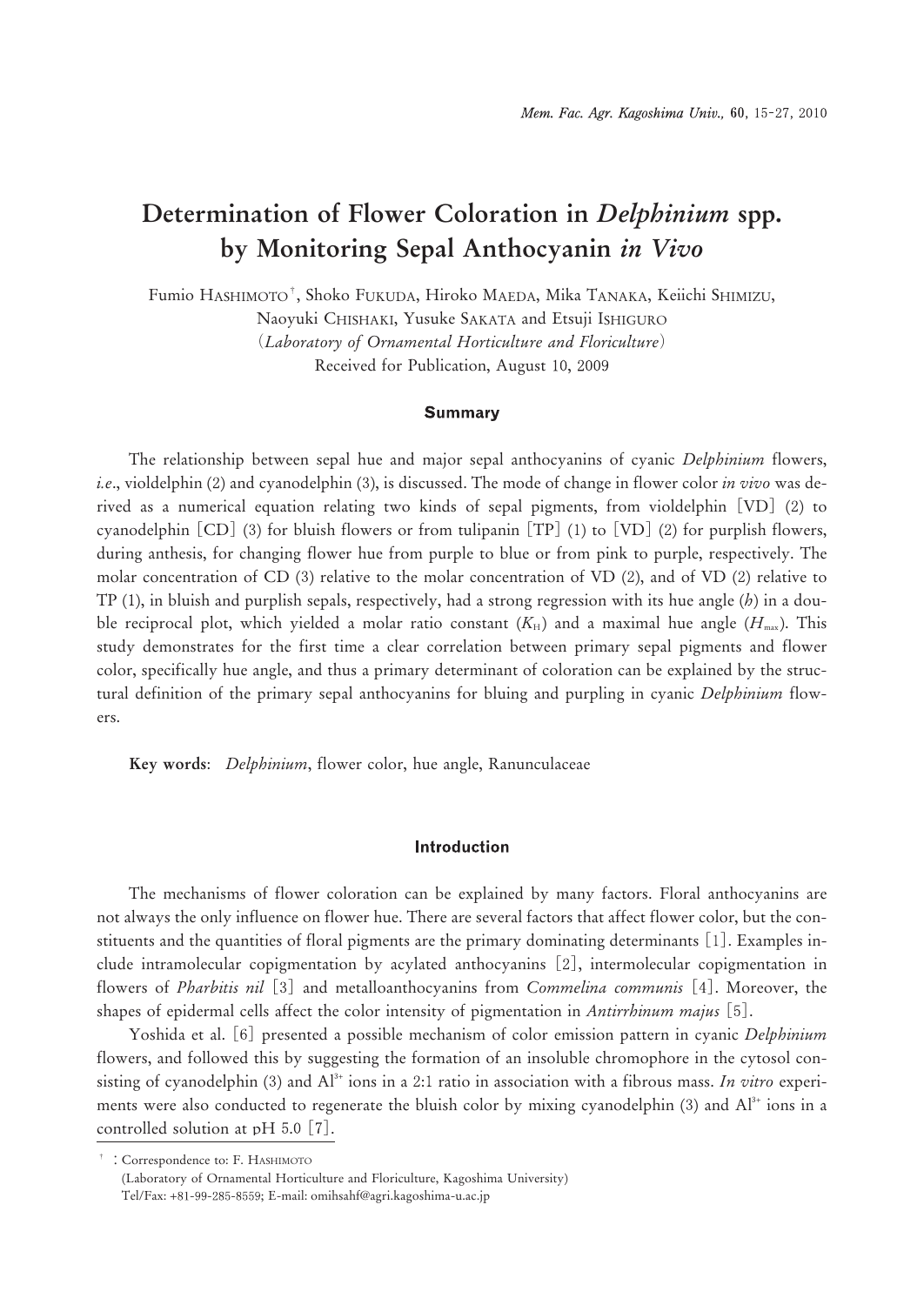# **Determination of Flower Coloration in** *Delphinium* **spp. by Monitoring Sepal Anthocyanin** *in Vivo*

Fumio HASHIMOTO†, Shoko FUKUDA, Hiroko MAEDA, Mika TANAKA, Keiichi SHIMIZU,

Naoyuki CHISHAKI, Yusuke SAKATA and Etsuji ISHIGURO

(*Laboratory of Ornamental Horticulture and Floriculture*) Received for Publication, August 10, 2009

#### **Summary**

The relationship between sepal hue and major sepal anthocyanins of cyanic *Delphinium* flowers, *i.e.*, violdelphin (2) and cyanodelphin (3), is discussed. The mode of change in flower color *in vivo* was derived as a numerical equation relating two kinds of sepal pigments, from violdelphin  $[VD]$  (2) to cyanodelphin  $[CD]$  (3) for bluish flowers or from tulipanin  $[TP]$  (1) to  $[VD]$  (2) for purplish flowers, during anthesis, for changing flower hue from purple to blue or from pink to purple, respectively. The molar concentration of CD  $(3)$  relative to the molar concentration of VD  $(2)$ , and of VD  $(2)$  relative to TP (), in bluish and purplish sepals, respectively, had a strong regression with its hue angle (*h*) in a double reciprocal plot, which yielded a molar ratio constant  $(K_H)$  and a maximal hue angle  $(H_{\text{max}})$ . This study demonstrates for the first time a clear correlation between primary sepal pigments and flower color, specifically hue angle, and thus a primary determinant of coloration can be explained by the structural definition of the primary sepal anthocyanins for bluing and purpling in cyanic *Delphinium* flowers.

**Key words**: *Delphinium*, flower color, hue angle, Ranunculaceae

## **Introduction**

The mechanisms of flower coloration can be explained by many factors. Floral anthocyanins are not always the only influence on flower hue. There are several factors that affect flower color, but the constituents and the quantities of floral pigments are the primary dominating determinants []. Examples include intramolecular copigmentation by acylated anthocyanins [2], intermolecular copigmentation in flowers of *Pharbitis nil* [3] and metalloanthocyanins from *Commelina communis* [4]. Moreover, the shapes of epidermal cells affect the color intensity of pigmentation in *Antirrhinum majus* [5].

Yoshida et al. [6] presented a possible mechanism of color emission pattern in cyanic *Delphinium* flowers, and followed this by suggesting the formation of an insoluble chromophore in the cytosol consisting of cyanodelphin (3) and  $Al^*$  ions in a 2:1 ratio in association with a fibrous mass. *In vitro* experiments were also conducted to regenerate the bluish color by mixing cyanodelphin  $(3)$  and  $Al<sup>3+</sup>$  ions in a controlled solution at  $pH$  5.0 [7].

† :Correspondence to: F. HASHIMOTO

<sup>(</sup>Laboratory of Ornamental Horticulture and Floriculture, Kagoshima University) Tel/Fax: +81-99-285-8559; E-mail: omihsahf@agri.kagoshima-u.ac.jp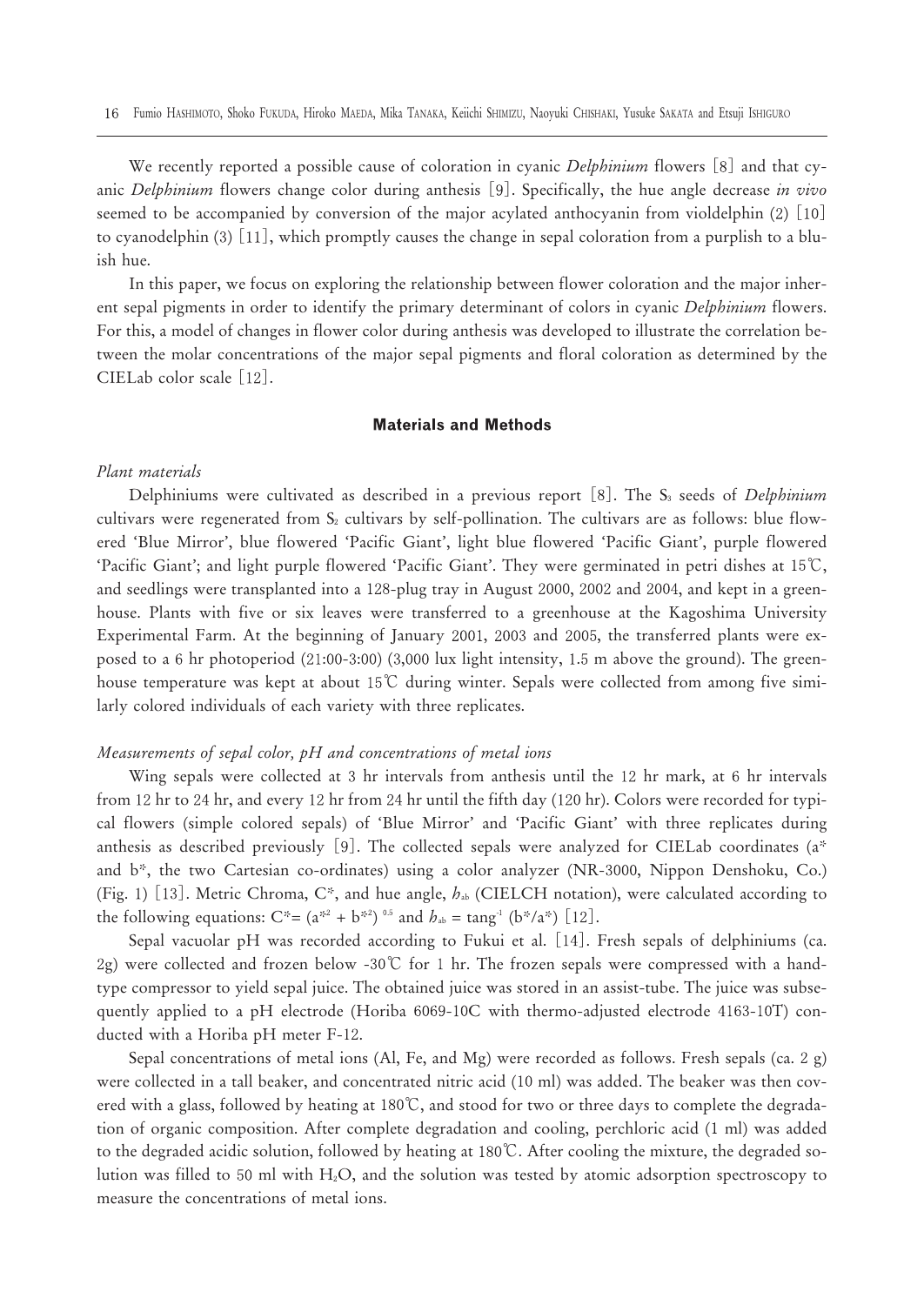We recently reported a possible cause of coloration in cyanic *Delphinium* flowers [8] and that cyanic *Delphinium* flowers change color during anthesis [9]. Specifically, the hue angle decrease *in vivo* seemed to be accompanied by conversion of the major acylated anthocyanin from violdelphin  $(2)$  [10] to cyanodelphin  $(3)$  [11], which promptly causes the change in sepal coloration from a purplish to a bluish hue.

In this paper, we focus on exploring the relationship between flower coloration and the major inherent sepal pigments in order to identify the primary determinant of colors in cyanic *Delphinium* flowers. For this, a model of changes in flower color during anthesis was developed to illustrate the correlation between the molar concentrations of the major sepal pigments and floral coloration as determined by the CIELab color scale  $[12]$ .

#### **Materials and Methods**

## *Plant materials*

Delphiniums were cultivated as described in a previous report [8]. The S<sub>3</sub> seeds of *Delphinium* cultivars were regenerated from  $S_2$  cultivars by self-pollination. The cultivars are as follows: blue flowered 'Blue Mirror', blue flowered 'Pacific Giant', light blue flowered 'Pacific Giant', purple flowered 'Pacific Giant'; and light purple flowered 'Pacific Giant'. They were germinated in petri dishes at ℃, and seedlings were transplanted into a 128-plug tray in August 2000, 2002 and 2004, and kept in a greenhouse. Plants with five or six leaves were transferred to a greenhouse at the Kagoshima University Experimental Farm. At the beginning of January 2001, 2003 and 2005, the transferred plants were exposed to a 6 hr photoperiod  $(21:00-3:00)$   $(3,000 \text{ lux light intensity}, 1.5 \text{ m above the ground})$ . The greenhouse temperature was kept at about 15°C during winter. Sepals were collected from among five similarly colored individuals of each variety with three replicates.

## *Measurements of sepal color, pH and concentrations of metal ions*

Wing sepals were collected at 3 hr intervals from anthesis until the 12 hr mark, at 6 hr intervals from 12 hr to 24 hr, and every 12 hr from 24 hr until the fifth day (120 hr). Colors were recorded for typical flowers (simple colored sepals) of 'Blue Mirror' and 'Pacific Giant' with three replicates during anthesis as described previously [9]. The collected sepals were analyzed for CIELab coordinates ( $a^*$ and b\*, the two Cartesian co-ordinates) using a color analyzer (NR-3000, Nippon Denshoku, Co.) (Fig. ) []. Metric Chroma, C\*, and hue angle, *h*ab (CIELCH notation), were calculated according to the following equations:  $C^* = (a^{*2} + b^{*2})^{0.5}$  and  $h_{ab} = \text{tang}^{-1} (b^*/a^*)$  [12].

Sepal vacuolar pH was recorded according to Fukui et al. [14]. Fresh sepals of delphiniums (ca. 2g) were collected and frozen below -30℃ for 1 hr. The frozen sepals were compressed with a handtype compressor to yield sepal juice. The obtained juice was stored in an assist-tube. The juice was subsequently applied to a pH electrode (Horiba  $6069-10C$  with thermo-adjusted electrode  $4163-10T$ ) conducted with a Horiba  $pH$  meter  $F-12$ .

Sepal concentrations of metal ions (Al, Fe, and Mg) were recorded as follows. Fresh sepals (ca. g) were collected in a tall beaker, and concentrated nitric acid (10 ml) was added. The beaker was then covered with a glass, followed by heating at 180°C, and stood for two or three days to complete the degradation of organic composition. After complete degradation and cooling, perchloric acid (1 ml) was added to the degraded acidic solution, followed by heating at ℃. After cooling the mixture, the degraded solution was filled to 50 ml with H<sub>2</sub>O, and the solution was tested by atomic adsorption spectroscopy to measure the concentrations of metal ions.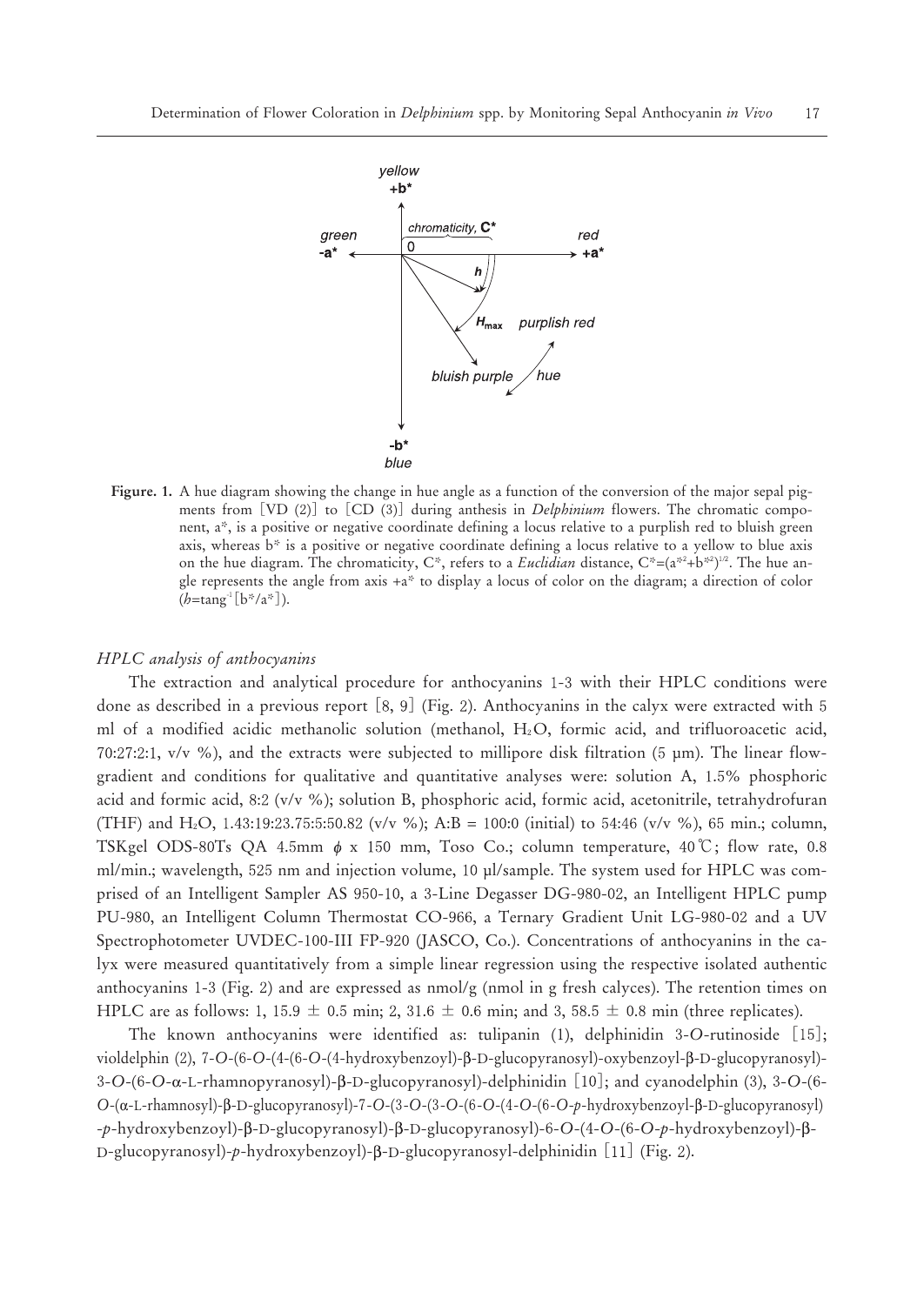

**Figure. 1.** A hue diagram showing the change in hue angle as a function of the conversion of the major sepal pigments from [VD  $(2)$ ] to  $[CD (3)]$  during anthesis in *Delphinium* flowers. The chromatic component, a\*, is a positive or negative coordinate defining a locus relative to a purplish red to bluish green axis, whereas b\* is a positive or negative coordinate defining a locus relative to a yellow to blue axis on the hue diagram. The chromaticity,  $C^*$ , refers to a *Euclidian* distance,  $C^*=(a^{*2}+b^{*2})^{\nu^2}$ . The hue angle represents the angle from axis +a\* to display a locus of color on the diagram; a direction of color (*h*=tang- [b\*/a\*]).

#### *HPLC analysis of anthocyanins*

The extraction and analytical procedure for anthocyanins 1-3 with their HPLC conditions were done as described in a previous report  $[8, 9]$  (Fig. 2). Anthocyanins in the calyx were extracted with 5 ml of a modified acidic methanolic solution (methanol,  $H_2O$ , formic acid, and trifluoroacetic acid,  $70:27:2:1$ , v/v %), and the extracts were subjected to millipore disk filtration (5  $\mu$ m). The linear flowgradient and conditions for qualitative and quantitative analyses were: solution  $A$ , 1.5% phosphoric acid and formic acid,  $8:2$  (v/v %); solution B, phosphoric acid, formic acid, acetonitrile, tetrahydrofuran (THF) and H<sub>2</sub>O, 1.43:19:23.75:5:50.82 (v/v %); A:B = 100:0 (initial) to 54:46 (v/v %), 65 min.; column, The extraction and analytical procedure for anthocyanins 1-3 with their HPLC conditions were<br>of one as described in a previous report [8, 9] (Fig. 2). Anthocyanins in the calyx were extracted with 5<br>ml of a modified acide ml/min.; wavelength, 525 nm and injection volume, 10 µl/sample. The system used for HPLC was comprised of an Intelligent Sampler AS 950-10, a 3-Line Degasser DG-980-02, an Intelligent HPLC pump PU-980, an Intelligent Column Thermostat CO-966, a Ternary Gradient Unit LG-980-02 and a UV Spectrophotometer UVDEC-100-III FP-920 (JASCO, Co.). Concentrations of anthocyanins in the calyx were measured quantitatively from a simple linear regression using the respective isolated authentic anthocyanins  $1-3$  (Fig. 2) and are expressed as  $\text{nmol/g}$  (nmol in g fresh calyces). The retention times on HPLC are as follows: 1, 15.9  $\pm$  0.5 min; 2, 31.6  $\pm$  0.6 min; and 3, 58.5  $\pm$  0.8 min (three replicates).

The known anthocyanins were identified as: tulipanin (1), delphinidin 3-O-rutinoside [15]; violdelphin (2), 7-O-(6-O-(4-(6-O-(4-hydroxybenzoyl)- $\beta$ -D-glucopyranosyl)-oxybenzoyl- $\beta$ -D-glucopyranosyl)- $3-O-(6-O-α-L-rhamnopyranosyl)-β-D-glucopyranosyl)-delphinidin [10]$ ; and cyanodelphin (3),  $3-O-(6-C)$ *O*-(-L-rhamnosyl)--D-glucopyranosyl)--*O*-(-*O*-(-*O*-(-*O*-(-*O*-(-*O*-*p*-hydroxybenzoyl--D-glucopyranosyl) -p-hydroxybenzoyl)-β-D-glucopyranosyl)-β-D-glucopyranosyl)-6-O-(4-O-(6-O-p-hydroxybenzoyl)-β-D-glucopyranosyl)-p-hydroxybenzoyl)-β-D-glucopyranosyl-delphinidin [11] (Fig. 2).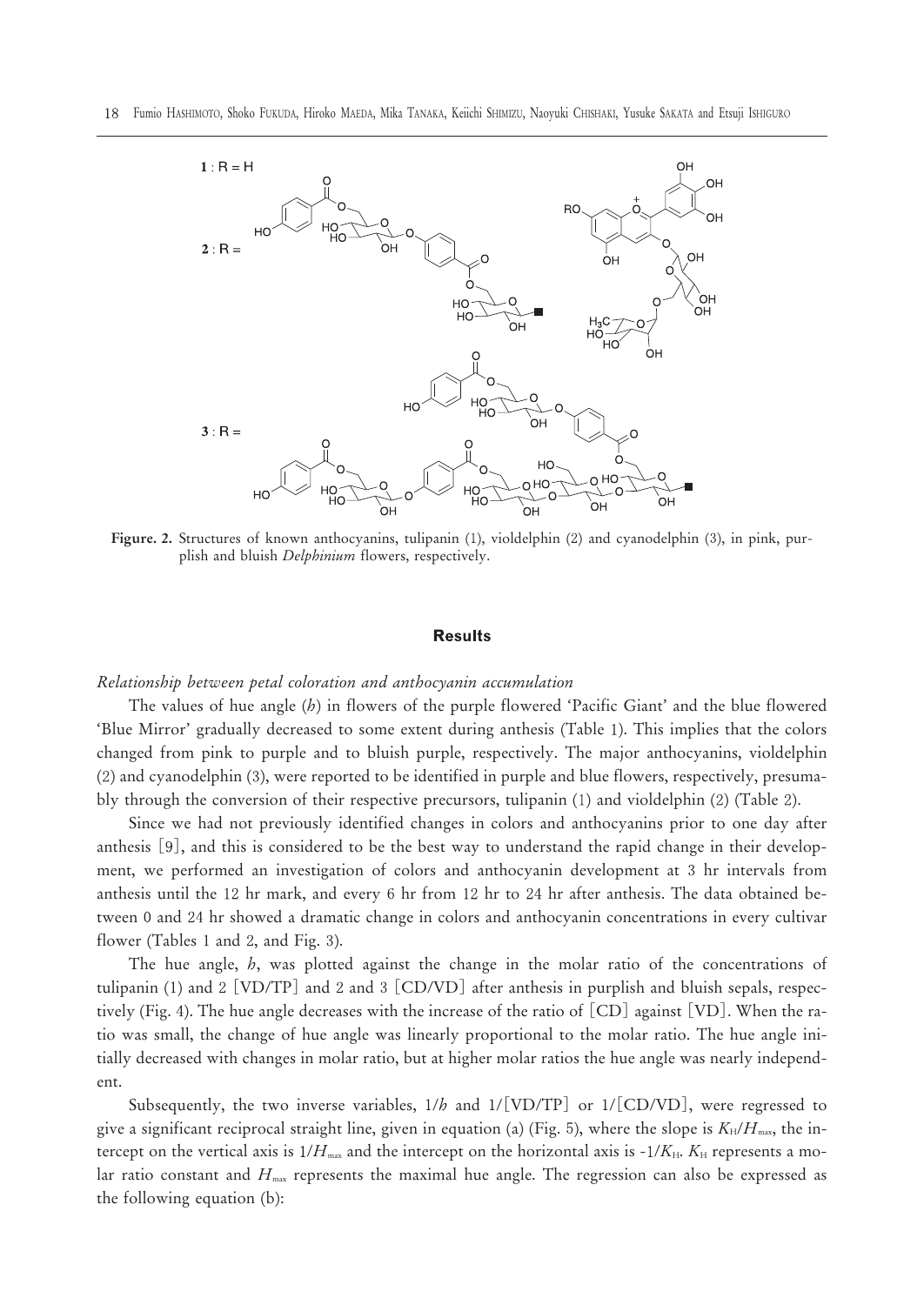

Figure. 2. Structures of known anthocyanins, tulipanin (1), violdelphin (2) and cyanodelphin (3), in pink, purplish and bluish *Delphinium* flowers, respectively.

#### **Results**

#### *Relationship between petal coloration and anthocyanin accumulation*

The values of hue angle (*h*) in flowers of the purple flowered 'Pacific Giant' and the blue flowered 'Blue Mirror' gradually decreased to some extent during anthesis (Table ). This implies that the colors changed from pink to purple and to bluish purple, respectively. The major anthocyanins, violdelphin (2) and cyanodelphin (3), were reported to be identified in purple and blue flowers, respectively, presumably through the conversion of their respective precursors, tulipanin  $(1)$  and violdelphin  $(2)$  (Table 2).

Since we had not previously identified changes in colors and anthocyanins prior to one day after anthesis  $[9]$ , and this is considered to be the best way to understand the rapid change in their development, we performed an investigation of colors and anthocyanin development at 3 hr intervals from anthesis until the 12 hr mark, and every 6 hr from 12 hr to 24 hr after anthesis. The data obtained between 0 and 24 hr showed a dramatic change in colors and anthocyanin concentrations in every cultivar flower (Tables 1 and 2, and Fig. 3).

The hue angle, *h*, was plotted against the change in the molar ratio of the concentrations of tulipanin (1) and 2 [VD/TP] and 2 and 3 [CD/VD] after anthesis in purplish and bluish sepals, respectively (Fig. 4). The hue angle decreases with the increase of the ratio of [CD] against [VD]. When the ratio was small, the change of hue angle was linearly proportional to the molar ratio. The hue angle initially decreased with changes in molar ratio, but at higher molar ratios the hue angle was nearly independent.

Subsequently, the two inverse variables,  $1/b$  and  $1/[\text{VD/TP}]$  or  $1/[\text{CD/VD}]$ , were regressed to give a significant reciprocal straight line, given in equation (a) (Fig. 5), where the slope is  $K_H/H_{\text{max}}$ , the intercept on the vertical axis is  $1/H_{\text{max}}$  and the intercept on the horizontal axis is  $-1/K_{\text{H}}$ .  $K_{\text{H}}$  represents a molar ratio constant and  $H_{\text{max}}$  represents the maximal hue angle. The regression can also be expressed as the following equation (b):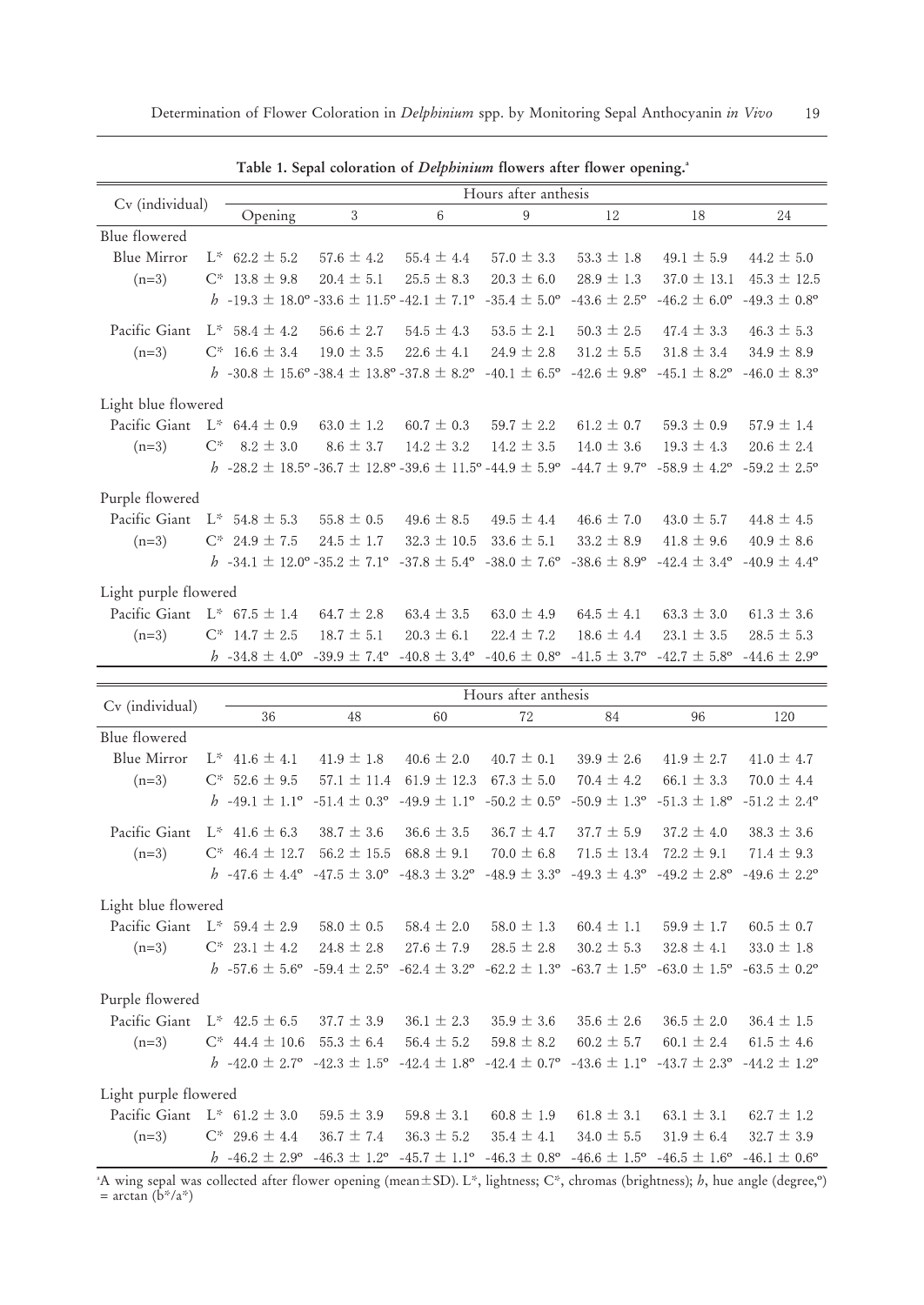|                                 |       |                           |                                                                                         |                         | Hours after anthesis         |                              |                              |                              |
|---------------------------------|-------|---------------------------|-----------------------------------------------------------------------------------------|-------------------------|------------------------------|------------------------------|------------------------------|------------------------------|
| Cv (individual)                 |       | Opening                   | 3                                                                                       | 6                       | 9                            | 12                           | 18                           | 24                           |
| Blue flowered                   |       |                           |                                                                                         |                         |                              |                              |                              |                              |
| Blue Mirror                     |       | $L^*$ 62.2 $\pm$ 5.2      | $57.6 \pm 4.2$                                                                          | 55.4 $\pm$ 4.4          | $57.0 \pm 3.3$               | $53.3 \pm 1.8$               | 49.1 $\pm$ 5.9               | $44.2 \pm 5.0$               |
| $(n=3)$                         |       | $C^*$ 13.8 $\pm$ 9.8      | $20.4 \pm 5.1$                                                                          | $25.5 \pm 8.3$          | $20.3 \pm 6.0$               | $28.9 \pm 1.3$               | $37.0 \pm 13.1$              | $45.3 \pm 12.5$              |
|                                 |       |                           | b -19.3 $\pm$ 18.0° -33.6 $\pm$ 11.5° -42.1 $\pm$ 7.1°                                  |                         | $-35.4 \pm 5.0^{\circ}$      | $-43.6 \pm 2.5^{\circ}$      | $-46.2 \pm 6.0^{\circ}$      | $-49.3 \pm 0.8$ <sup>o</sup> |
| Pacific Giant                   |       | $L^*$ 58.4 $\pm$ 4.2      | $56.6 \pm 2.7$                                                                          | $54.5 \pm 4.3$          | $53.5 \pm 2.1$               | $50.3 \pm 2.5$               | $47.4 \pm 3.3$               | $46.3 \pm 5.3$               |
| $(n=3)$                         |       | $C^*$ 16.6 $\pm$ 3.4      | $19.0 \pm 3.5$                                                                          | $22.6 \pm 4.1$          | $24.9 \pm 2.8$               | $31.2 \pm 5.5$               | $31.8 \pm 3.4$               | $34.9 \pm 8.9$               |
|                                 |       |                           | h -30.8 $\pm$ 15.6° -38.4 $\pm$ 13.8° -37.8 $\pm$ 8.2°                                  |                         | $-40.1 \pm 6.5^{\circ}$      | $-42.6 \pm 9.8$ °            | $-45.1 \pm 8.2$ <sup>o</sup> | $-46.0 \pm 8.3$ °            |
| Light blue flowered             |       |                           |                                                                                         |                         |                              |                              |                              |                              |
| Pacific Giant                   |       | $L^*$ 64.4 $\pm$ 0.9      | $63.0 \pm 1.2$                                                                          | $60.7 \pm 0.3$          | $59.7 \pm 2.2$               | $61.2 \pm 0.7$               | $59.3 \pm 0.9$               | $57.9 \pm 1.4$               |
| $(n=3)$                         | $C^*$ | $8.2 \pm 3.0$             | $8.6 \pm 3.7$                                                                           | $14.2 \pm 3.2$          | $14.2 \pm 3.5$               | $14.0 \pm 3.6$               | $19.3 \pm 4.3$               | $20.6 \pm 2.4$               |
|                                 |       |                           | h -28.2 $\pm$ 18.5° -36.7 $\pm$ 12.8° -39.6 $\pm$ 11.5° -44.9 $\pm$ 5.9°                |                         |                              | $-44.7 \pm 9.7$ <sup>o</sup> | $-58.9 \pm 4.2$ <sup>o</sup> | $-59.2 \pm 2.5^{\circ}$      |
| Purple flowered                 |       |                           |                                                                                         |                         |                              |                              |                              |                              |
| Pacific Giant                   |       | $L^*$ 54.8 $\pm$ 5.3      | $55.8 \pm 0.5$                                                                          | $49.6 \pm 8.5$          | $49.5 \pm 4.4$               | $46.6 \pm 7.0$               | $43.0 \pm 5.7$               | $44.8 \pm 4.5$               |
| $(n=3)$                         |       | $C^*$ 24.9 ± 7.5          | $24.5 \pm 1.7$                                                                          | $32.3 \pm 10.5$         | $33.6 \pm 5.1$               | $33.2 \pm 8.9$               | $41.8 \pm 9.6$               | $40.9 \pm 8.6$               |
|                                 |       |                           | h -34.1 $\pm$ 12.0° -35.2 $\pm$ 7.1° -37.8 $\pm$ 5.4° -38.0 $\pm$ 7.6° -38.6 $\pm$ 8.9° |                         |                              |                              | $-42.4 \pm 3.4^{\circ}$      | $-40.9 \pm 4.4^{\circ}$      |
| Light purple flowered           |       |                           |                                                                                         |                         |                              |                              |                              |                              |
| Pacific Giant L* $67.5 \pm 1.4$ |       |                           | $64.7 \pm 2.8$                                                                          | $63.4 \pm 3.5$          | $63.0 \pm 4.9$               | $64.5 \pm 4.1$               | $63.3 \pm 3.0$               | $61.3 \pm 3.6$               |
| $(n=3)$                         |       | $C^*$ 14.7 $\pm$ 2.5      | $18.7 \pm 5.1$                                                                          | $20.3 \pm 6.1$          | $22.4 \pm 7.2$               | $18.6 \pm 4.4$               | $23.1 \pm 3.5$               | $28.5 \pm 5.3$               |
|                                 |       | $b -34.8 \pm 4.0^{\circ}$ | $-39.9 \pm 7.4$ <sup>o</sup>                                                            | $-40.8 \pm 3.4^{\circ}$ | $-40.6 \pm 0.8$ <sup>o</sup> | $-41.5 \pm 3.7$ °            | $-42.7 \pm 5.8$ <sup>o</sup> | $-44.6 \pm 2.9$ <sup>o</sup> |

Table 1. Sepal coloration of *Delphinium* flowers after flower opening.<sup>a</sup>

| Cv (individual)       |                                                                                                                                                 | Hours after anthesis |                         |                         |                                                                         |                              |                              |  |  |  |  |  |  |  |  |
|-----------------------|-------------------------------------------------------------------------------------------------------------------------------------------------|----------------------|-------------------------|-------------------------|-------------------------------------------------------------------------|------------------------------|------------------------------|--|--|--|--|--|--|--|--|
|                       | 36                                                                                                                                              | 48                   | 60                      | 72                      | 84                                                                      | 96                           | 120                          |  |  |  |  |  |  |  |  |
| Blue flowered         |                                                                                                                                                 |                      |                         |                         |                                                                         |                              |                              |  |  |  |  |  |  |  |  |
| Blue Mirror           | $L^*$ 41.6 $\pm$ 4.1                                                                                                                            | $41.9 \pm 1.8$       | $40.6 \pm 2.0$          | $40.7 \pm 0.1$          | $39.9 \pm 2.6$                                                          | $41.9 \pm 2.7$               | $41.0 \pm 4.7$               |  |  |  |  |  |  |  |  |
| $(n=3)$               | $C^*$ 52.6 $\pm$ 9.5                                                                                                                            | $57.1 \pm 11.4$      | $61.9 \pm 12.3$         | $67.3 \pm 5.0$          | $70.4 \pm 4.2$                                                          | $66.1 \pm 3.3$               | $70.0 \pm 4.4$               |  |  |  |  |  |  |  |  |
|                       | $h$ -49.1 $\pm$ 1.1 <sup>o</sup>                                                                                                                | $-51.4 \pm 0.3$ °    | $-49.9 \pm 1.1^{\circ}$ | $-50.2 \pm 0.5^{\circ}$ | $-50.9 \pm 1.3$ °                                                       | $-51.3 \pm 1.8$ <sup>o</sup> | $-51.2 \pm 2.4^{\circ}$      |  |  |  |  |  |  |  |  |
| Pacific Giant         | $L^*$ 41.6 $\pm$ 6.3                                                                                                                            | $38.7 \pm 3.6$       | $36.6 \pm 3.5$          | $36.7 \pm 4.7$          | $37.7 \pm 5.9$                                                          | $37.2 \pm 4.0$               | $38.3 \pm 3.6$               |  |  |  |  |  |  |  |  |
| $(n=3)$               | $C^*$ 46.4 $\pm$ 12.7                                                                                                                           | $56.2 \pm 15.5$      | $68.8 \pm 9.1$          | $70.0 \pm 6.8$          | $71.5 \pm 13.4$                                                         | $72.2 \pm 9.1$               | $71.4 \pm 9.3$               |  |  |  |  |  |  |  |  |
|                       | $b$ -47.6 $\pm$ 4.4° -47.5 $\pm$ 3.0° -48.3 $\pm$ 3.2°                                                                                          |                      |                         |                         | $-48.9 \pm 3.3^{\circ}$ $-49.3 \pm 4.3^{\circ}$ $-49.2 \pm 2.8^{\circ}$ |                              | $-49.6 \pm 2.2$ °            |  |  |  |  |  |  |  |  |
| Light blue flowered   |                                                                                                                                                 |                      |                         |                         |                                                                         |                              |                              |  |  |  |  |  |  |  |  |
|                       | Pacific Giant $L^*$ 59.4 $\pm$ 2.9                                                                                                              | $58.0 \pm 0.5$       | $58.4 \pm 2.0$          | $58.0 \pm 1.3$          | $60.4 \pm 1.1$                                                          | $59.9 \pm 1.7$               | $60.5 \pm 0.7$               |  |  |  |  |  |  |  |  |
| $(n=3)$               | $C^*$ 23.1 $\pm$ 4.2                                                                                                                            | $24.8 \pm 2.8$       | $27.6 \pm 7.9$          | $28.5 \pm 2.8$          | $30.2 \pm 5.3$                                                          | $32.8 \pm 4.1$               | $33.0 \pm 1.8$               |  |  |  |  |  |  |  |  |
|                       | $b -57.6 \pm 5.6$ ° -59.4 $\pm 2.5$ °                                                                                                           |                      | $-62.4 \pm 3.2$ °       | $-62.2 \pm 1.3$ °       | $-63.7 \pm 1.5^{\circ}$                                                 | $-63.0 \pm 1.5^{\circ}$      | $-63.5 \pm 0.2$ <sup>o</sup> |  |  |  |  |  |  |  |  |
| Purple flowered       |                                                                                                                                                 |                      |                         |                         |                                                                         |                              |                              |  |  |  |  |  |  |  |  |
| Pacific Giant         | $L^*$ 42.5 $\pm$ 6.5                                                                                                                            | $37.7 \pm 3.9$       | $36.1 \pm 2.3$          | $35.9 \pm 3.6$          | $35.6 \pm 2.6$                                                          | $36.5 \pm 2.0$               | $36.4 \pm 1.5$               |  |  |  |  |  |  |  |  |
| $(n=3)$               | $C^*$ 44.4 $\pm$ 10.6                                                                                                                           | $55.3 \pm 6.4$       | $56.4 \pm 5.2$          | $59.8 \pm 8.2$          | $60.2 \pm 5.7$                                                          | $60.1 \pm 2.4$               | $61.5 \pm 4.6$               |  |  |  |  |  |  |  |  |
|                       | $b$ -42.0 $\pm$ 2.7° -42.3 $\pm$ 1.5° -42.4 $\pm$ 1.8°                                                                                          |                      |                         |                         | $-42.4 \pm 0.7$ ° $-43.6 \pm 1.1$ ° $-43.7 \pm 2.3$ °                   |                              | $-44.2 \pm 1.2^{\circ}$      |  |  |  |  |  |  |  |  |
| Light purple flowered |                                                                                                                                                 |                      |                         |                         |                                                                         |                              |                              |  |  |  |  |  |  |  |  |
|                       | Pacific Giant $L^*$ 61.2 $\pm$ 3.0                                                                                                              | $59.5 \pm 3.9$       | $59.8 \pm 3.1$          | $60.8 \pm 1.9$          | $61.8 \pm 3.1$                                                          | $63.1 \pm 3.1$               | $62.7 \pm 1.2$               |  |  |  |  |  |  |  |  |
| $(n=3)$               | $C^*$ 29.6 $\pm$ 4.4                                                                                                                            | $36.7 \pm 7.4$       | $36.3 \pm 5.2$          | $35.4 \pm 4.1$          | $34.0 \pm 5.5$                                                          | $31.9 \pm 6.4$               | $32.7 \pm 3.9$               |  |  |  |  |  |  |  |  |
|                       | $h \text{ -46.2} \pm 2.9^{\circ}$                                                                                                               | $-46.3 \pm 1.2$ °    | $-45.7 \pm 1.1^{\circ}$ |                         | $-46.3 \pm 0.8$ ° $-46.6 \pm 1.5$ °                                     | $-46.5 \pm 1.6^{\circ}$      | $-46.1 \pm 0.6^{\circ}$      |  |  |  |  |  |  |  |  |
|                       | "A wing sepal was collected after flower opening (mean $\pm$ SD). L*, lightness; C*, chromas (brightness); h, hue angle (degree, <sup>o</sup> ) |                      |                         |                         |                                                                         |                              |                              |  |  |  |  |  |  |  |  |

= arctan (b\*/a\*)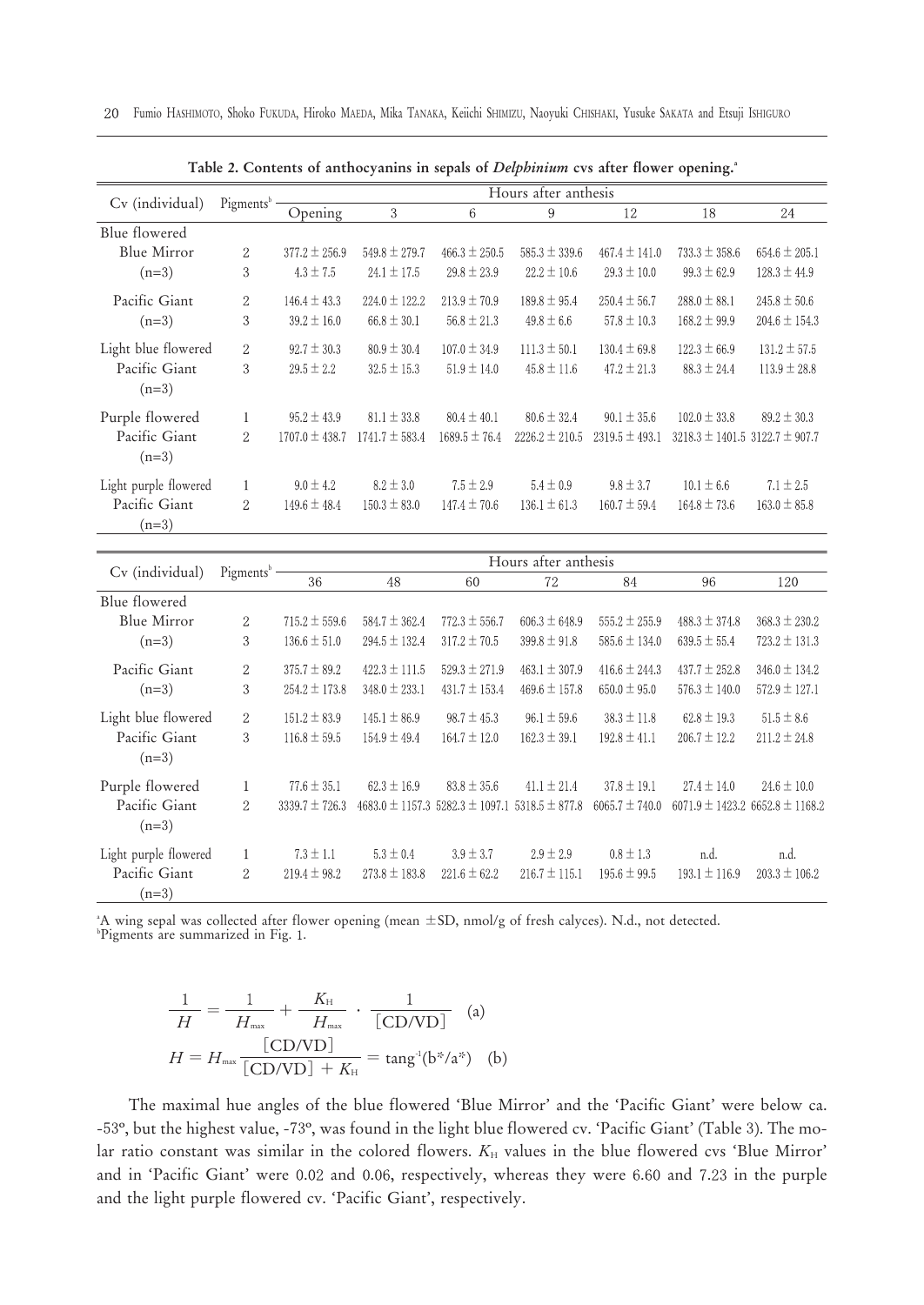|                          |                       |                    |                    | л.                | x                    |                    | $\circ$                                |                   |
|--------------------------|-----------------------|--------------------|--------------------|-------------------|----------------------|--------------------|----------------------------------------|-------------------|
|                          |                       |                    |                    |                   | Hours after anthesis |                    |                                        |                   |
| Cv (individual)          | Pigments <sup>b</sup> | Opening            | 3                  | 6                 | 9                    | 12                 | 18                                     | 24                |
| Blue flowered            |                       |                    |                    |                   |                      |                    |                                        |                   |
| Blue Mirror              | $\overline{2}$        | $377.2 \pm 256.9$  | $549.8 \pm 279.7$  | $466.3 \pm 250.5$ | $585.3 \pm 339.6$    | $467.4 \pm 141.0$  | $733.3 \pm 358.6$                      | $654.6 \pm 205.1$ |
| $(n=3)$                  | 3                     | $4.3 \pm 7.5$      | $24.1 \pm 17.5$    | $29.8 \pm 23.9$   | $22.2 \pm 10.6$      | $29.3 \pm 10.0$    | $99.3 \pm 62.9$                        | $128.3 \pm 44.9$  |
| Pacific Giant            | $\overline{2}$        | $146.4 \pm 43.3$   | $224.0 \pm 122.2$  | $213.9 \pm 70.9$  | $189.8 \pm 95.4$     | $250.4 \pm 56.7$   | $288.0 \pm 88.1$                       | $245.8 \pm 50.6$  |
| $(n=3)$                  | 3                     | $39.2 \pm 16.0$    | $66.8 \pm 30.1$    | $56.8 \pm 21.3$   | $49.8 \pm 6.6$       | $57.8 \pm 10.3$    | $168.2 \pm 99.9$                       | $204.6 \pm 154.3$ |
| Light blue flowered      | $\overline{2}$        | $92.7 \pm 30.3$    | $80.9 \pm 30.4$    | $107.0 \pm 34.9$  | $111.3 \pm 50.1$     | $130.4 \pm 69.8$   | $122.3 \pm 66.9$                       | $131.2 \pm 57.5$  |
| Pacific Giant<br>$(n=3)$ | 3                     | $29.5 \pm 2.2$     | $32.5 \pm 15.3$    | $51.9 \pm 14.0$   | $45.8 \pm 11.6$      | $47.2 \pm 21.3$    | $88.3 \pm 24.4$                        | $113.9 \pm 28.8$  |
| Purple flowered          | 1                     | $95.2 \pm 43.9$    | $81.1 \pm 33.8$    | $80.4 \pm 40.1$   | $80.6 \pm 32.4$      | $90.1 \pm 35.6$    | $102.0 \pm 33.8$                       | $89.2 \pm 30.3$   |
| Pacific Giant<br>$(n=3)$ | $\overline{2}$        | $1707.0 \pm 438.7$ | $1741.7 \pm 583.4$ | $1689.5 \pm 76.4$ | $2226.2 \pm 210.5$   | $2319.5 \pm 493.1$ | $3218.3 \pm 1401.5$ 3122.7 $\pm$ 907.7 |                   |
| Light purple flowered    | 1                     | $9.0 \pm 4.2$      | $8.2 \pm 3.0$      | $7.5 \pm 2.9$     | $5.4 \pm 0.9$        | $9.8 \pm 3.7$      | $10.1 \pm 6.6$                         | $7.1 \pm 2.5$     |
| Pacific Giant            | $\overline{2}$        | $149.6 \pm 48.4$   | $150.3 \pm 83.0$   | $147.4 \pm 70.6$  | $136.1 \pm 61.3$     | $160.7 \pm 59.4$   | $164.8 \pm 73.6$                       | $163.0 \pm 85.8$  |
| $(n=3)$                  |                       |                    |                    |                   |                      |                    |                                        |                   |

Table 2. Contents of anthocyanins in sepals of *Delphinium* cys after flower opening.<sup>4</sup>

|                          |                | Hours after anthesis |                   |                                         |                    |                    |                   |                                         |  |  |  |  |  |
|--------------------------|----------------|----------------------|-------------------|-----------------------------------------|--------------------|--------------------|-------------------|-----------------------------------------|--|--|--|--|--|
| Cv (individual)          | Pigments       | 36                   | 48                | 60                                      | 72                 | 84                 | 96                | 120                                     |  |  |  |  |  |
| Blue flowered            |                |                      |                   |                                         |                    |                    |                   |                                         |  |  |  |  |  |
| Blue Mirror              | $\overline{2}$ | $715.2 \pm 559.6$    | $584.7 \pm 362.4$ | $772.3 \pm 556.7$                       | $606.3 \pm 648.9$  | $555.2 \pm 255.9$  | $488.3 \pm 374.8$ | $368.3 \pm 230.2$                       |  |  |  |  |  |
| $(n=3)$                  | 3              | $136.6 \pm 51.0$     | $294.5 \pm 132.4$ | $317.2 \pm 70.5$                        | $399.8 \pm 91.8$   | $585.6 \pm 134.0$  | $639.5 \pm 55.4$  | $723.2 \pm 131.3$                       |  |  |  |  |  |
| Pacific Giant            | $\overline{2}$ | $375.7 \pm 89.2$     | $422.3 \pm 111.5$ | $529.3 \pm 271.9$                       | $463.1 \pm 307.9$  | $416.6 \pm 244.3$  | $437.7 \pm 252.8$ | $346.0 \pm 134.2$                       |  |  |  |  |  |
| $(n=3)$                  | 3              | $254.2 \pm 173.8$    | $348.0 \pm 233.1$ | $431.7 \pm 153.4$                       | $469.6 \pm 157.8$  | $650.0 \pm 95.0$   | $576.3 \pm 140.0$ | $572.9 \pm 127.1$                       |  |  |  |  |  |
| Light blue flowered      | $\overline{2}$ | $151.2 \pm 83.9$     | $145.1 \pm 86.9$  | $98.7 \pm 45.3$                         | $96.1 \pm 59.6$    | $38.3 \pm 11.8$    | $62.8 \pm 19.3$   | $51.5 \pm 8.6$                          |  |  |  |  |  |
| Pacific Giant<br>$(n=3)$ | 3              | $116.8 \pm 59.5$     | $154.9 \pm 49.4$  | $164.7 \pm 12.0$                        | $162.3 \pm 39.1$   | $192.8 \pm 41.1$   | $206.7 \pm 12.2$  | $211.2 \pm 24.8$                        |  |  |  |  |  |
| Purple flowered          | 1              | $77.6 \pm 35.1$      | $62.3 \pm 16.9$   | $83.8 \pm 35.6$                         | $41.1 \pm 21.4$    | $37.8 \pm 19.1$    | $27.4 \pm 14.0$   | $24.6 \pm 10.0$                         |  |  |  |  |  |
| Pacific Giant<br>$(n=3)$ | 2              | $3339.7 \pm 726.3$   |                   | $4683.0 \pm 1157.3$ 5282.3 $\pm$ 1097.1 | $5318.5 \pm 877.8$ | $6065.7 \pm 740.0$ |                   | $6071.9 \pm 1423.2$ 6652.8 $\pm$ 1168.2 |  |  |  |  |  |
| Light purple flowered    |                | $7.3 \pm 1.1$        | $5.3 \pm 0.4$     | $3.9 \pm 3.7$                           | $2.9 \pm 2.9$      | $0.8 \pm 1.3$      | n.d.              | n.d.                                    |  |  |  |  |  |
| Pacific Giant<br>$(n=3)$ | $\overline{2}$ | $219.4 \pm 98.2$     | $273.8 \pm 183.8$ | $221.6 \pm 62.2$                        | $216.7 \pm 115.1$  | $195.6 \pm 99.5$   | $193.1 \pm 116.9$ | $203.3 \pm 106.2$                       |  |  |  |  |  |

 $^{\circ}$ A wing sepal was collected after flower opening (mean  $\pm$ SD, nmol/g of fresh calyces). N.d., not detected.<br>bDioments are summarized in Fig. 1.  ${}^{\text{b}}$ Pigments are summarized in Fig. 1.

$$
\frac{1}{H} = \frac{1}{H_{\text{max}}} + \frac{K_{\text{H}}}{H_{\text{max}}} \cdot \frac{1}{[CD/VD]} \quad \text{(a)}
$$
\n
$$
H = H_{\text{max}} \frac{[CD/VD]}{[CD/VD] + K_{\text{H}}} = \tan g^{\text{-1}}(b^{\text{*}}/a^{\text{*}}) \quad \text{(b)}
$$

The maximal hue angles of the blue flowered 'Blue Mirror' and the 'Pacific Giant' were below ca. -53°, but the highest value, -73°, was found in the light blue flowered cv. 'Pacific Giant' (Table 3). The molar ratio constant was similar in the colored flowers.  $K_H$  values in the blue flowered cvs 'Blue Mirror' and in 'Pacific Giant' were 0.02 and 0.06, respectively, whereas they were 6.60 and 7.23 in the purple and the light purple flowered cv. 'Pacific Giant', respectively.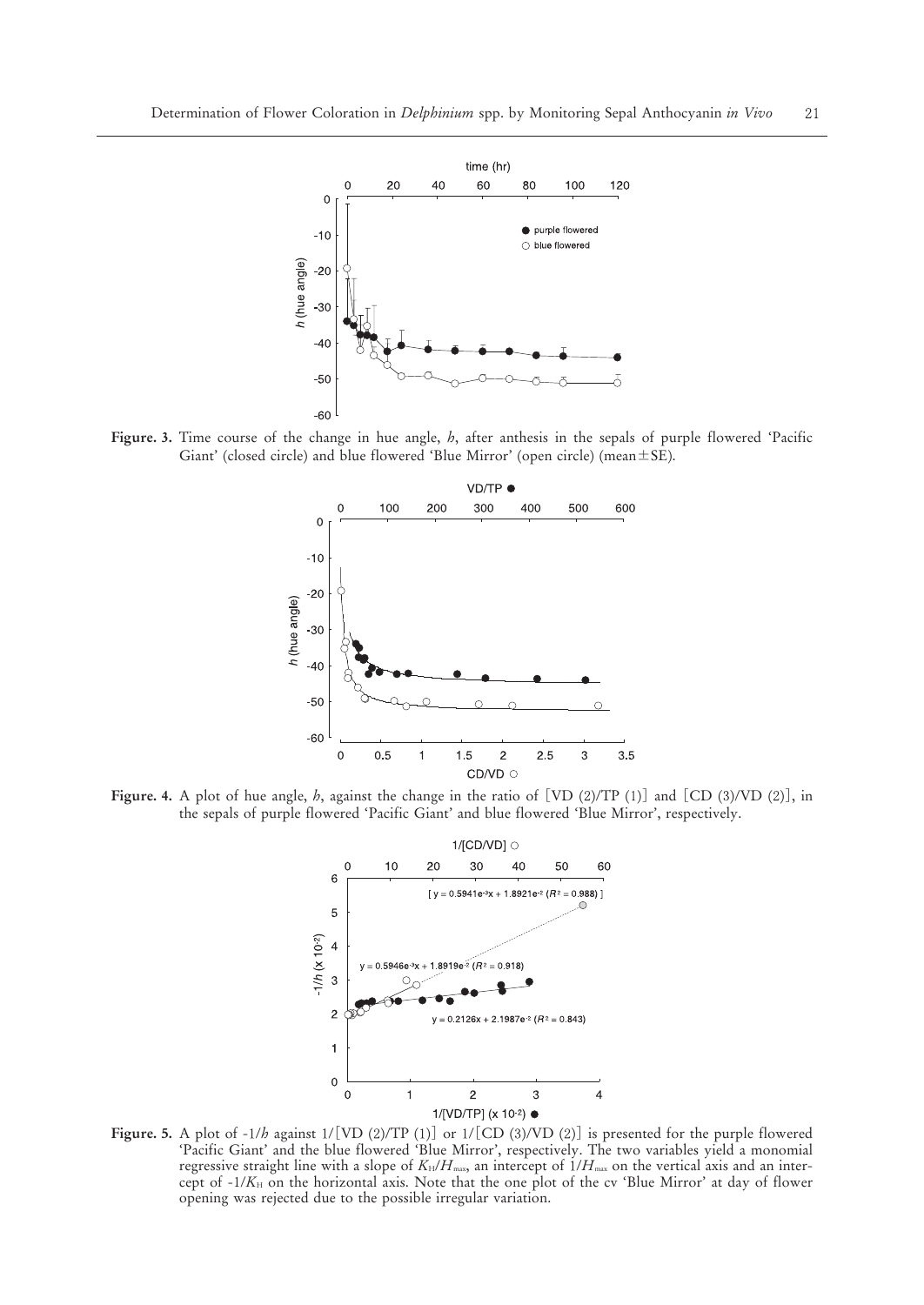

**Figure. 3.** Time course of the change in hue angle, *h*, after anthesis in the sepals of purple flowered 'Pacific Giant' (closed circle) and blue flowered 'Blue Mirror' (open circle) (mean $\pm$ SE).



**Figure. 4.** A plot of hue angle, *h*, against the change in the ratio of [VD (2)/TP (1)] and [CD (3)/VD (2)], in the sepals of purple flowered 'Pacific Giant' and blue flowered 'Blue Mirror', respectively.



**Figure. 5.** A plot of  $-1/b$  against  $1/[\text{VD (2)/TP (1)}]$  or  $1/[\text{CD (3)/VD (2)}]$  is presented for the purple flowered 'Pacific Giant' and the blue flowered 'Blue Mirror', respectively. The two variables yield a monomial regressive straight line with a slope of  $K_H/H_{\text{max}}$ , an intercept of  $1/H_{\text{max}}$  on the vertical axis and an intercept of -/*K*<sup>H</sup> on the horizontal axis. Note that the one plot of the cv 'Blue Mirror' at day of flower opening was rejected due to the possible irregular variation.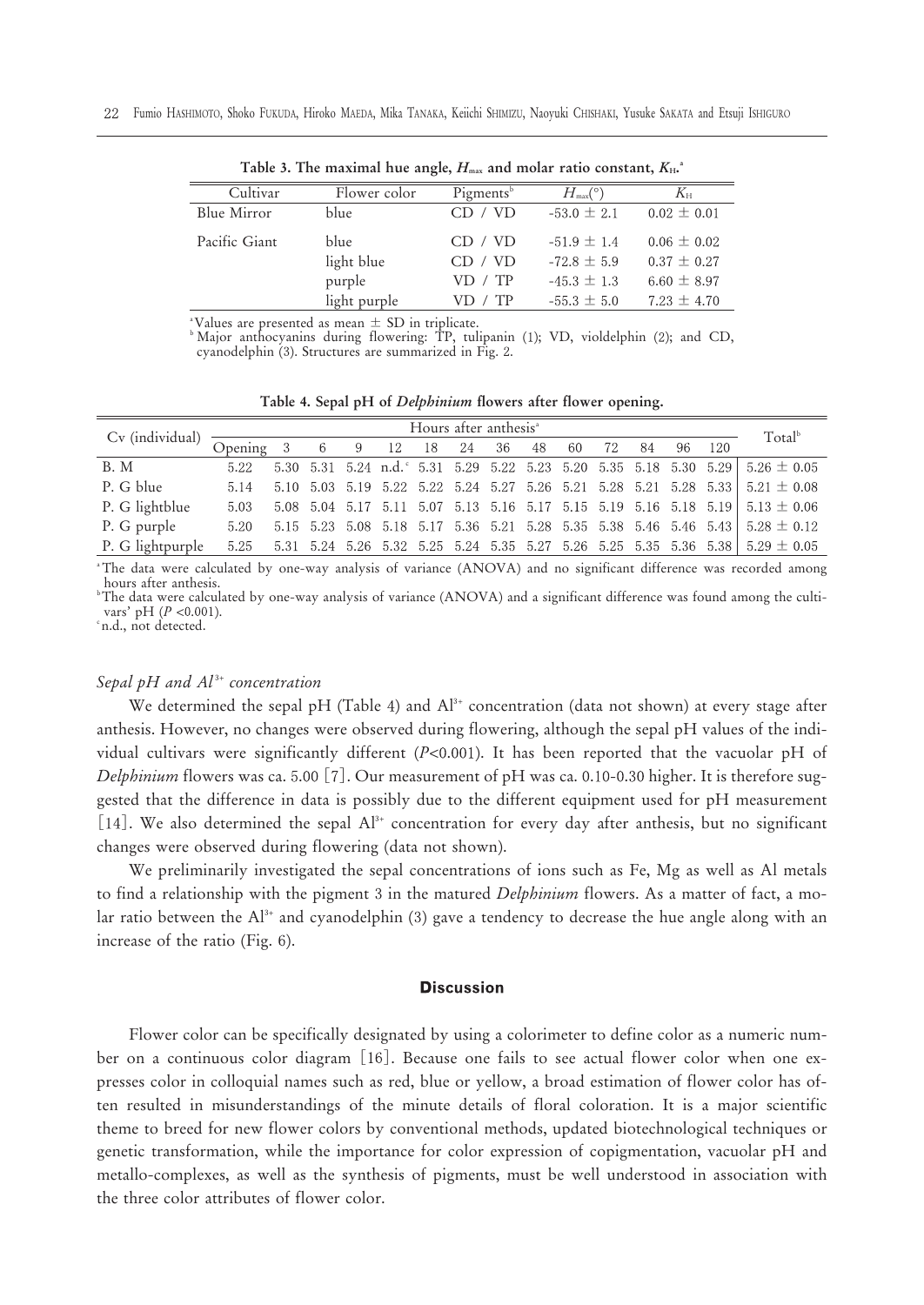| Cultivar      | Flower color | Pigments <sup>b</sup> | $H_{\text{max}}(^{\circ})$ | $K_{\rm H}$     |  |  |  |  |  |  |  |  |  |  |
|---------------|--------------|-----------------------|----------------------------|-----------------|--|--|--|--|--|--|--|--|--|--|
| Blue Mirror   | blue         | CD / VD               | $-53.0 \pm 2.1$            | $0.02 \pm 0.01$ |  |  |  |  |  |  |  |  |  |  |
| Pacific Giant | blue         | CD / VD               | $-51.9 \pm 1.4$            | $0.06 \pm 0.02$ |  |  |  |  |  |  |  |  |  |  |
|               | light blue   | CD / VD               | $-72.8 \pm 5.9$            | $0.37 \pm 0.27$ |  |  |  |  |  |  |  |  |  |  |
|               | purple       | VD / TP               | $-45.3 \pm 1.3$            | $6.60 \pm 8.97$ |  |  |  |  |  |  |  |  |  |  |
|               | light purple | VD / TP               | $-55.3 \pm 5.0$            | $7.23 \pm 4.70$ |  |  |  |  |  |  |  |  |  |  |
|               |              |                       |                            |                 |  |  |  |  |  |  |  |  |  |  |

Table 3. The maximal hue angle,  $H_{\text{\tiny{max}}}$  and molar ratio constant,  $K_{\text{\tiny{H}}}$ .

\*Values are presented as mean  $\pm$  SD in triplicate.<br><sup>b</sup> Major anthocyanins during flowering: TP, tulipanin (1); VD, violdelphin (2); and CD, cyanodelphin (3). Structures are summarized in Fig. 2.

|  |  |  |  |  |  |  |  |  |  |  |  | Table 4. Sepal pH of <i>Delphinium</i> flowers after flower opening. |
|--|--|--|--|--|--|--|--|--|--|--|--|----------------------------------------------------------------------|
|--|--|--|--|--|--|--|--|--|--|--|--|----------------------------------------------------------------------|

|                                                |      |  |                             | Hours after anthesis <sup>a</sup> |  |  |  |        | Total <sup>b</sup>                                                                                                |
|------------------------------------------------|------|--|-----------------------------|-----------------------------------|--|--|--|--------|-------------------------------------------------------------------------------------------------------------------|
| $Cv$ (individual) $\frac{1}{\text{Opening}}$ 3 |      |  | 6 9 12 18 24 36 48 60 72 84 |                                   |  |  |  | 96 120 |                                                                                                                   |
| <b>B.</b> M                                    | 5.22 |  |                             |                                   |  |  |  |        | 5.30 5.31 5.24 n.d. $5.31$ 5.29 5.22 5.23 5.20 5.35 5.18 5.30 5.29 5.26 $\pm$ 0.05                                |
| P. G blue                                      | 5.14 |  |                             |                                   |  |  |  |        | 5.10 5.03 5.19 5.22 5.22 5.24 5.27 5.26 5.21 5.28 5.21 5.28 5.33 5.21 $\pm$ 0.08                                  |
| P. G lightblue                                 | 5.03 |  |                             |                                   |  |  |  |        | 5.08 5.04 5.17 5.11 5.07 5.13 5.16 5.17 5.15 5.19 5.16 5.18 5.19 5.13 $\pm$ 0.06                                  |
| P. G purple                                    | 5.20 |  |                             |                                   |  |  |  |        | 5.15 5.23 5.08 5.18 5.17 5.36 5.21 5.28 5.35 5.38 5.46 5.46 5.43 5.28 $\pm$ 0.12                                  |
| P. G lightpurple                               |      |  |                             |                                   |  |  |  |        | $5.25$ $5.31$ $5.24$ $5.26$ $5.32$ $5.25$ $5.24$ $5.35$ $5.27$ $5.26$ $5.25$ $5.35$ $5.36$ $5.38$ $5.29 \pm 0.05$ |

a The data were calculated by one-way analysis of variance (ANOVA) and no significant difference was recorded among hours after anthesis.

b The data were calculated by one-way analysis of variance (ANOVA) and a significant difference was found among the cultivars' pH  $(P \le 0.001)$ .

n.d., not detected.

## *Sepal pH and Al <sup>+</sup> concentration*

We determined the sepal pH (Table 4) and  $Al^*$  concentration (data not shown) at every stage after anthesis. However, no changes were observed during flowering, although the sepal pH values of the individual cultivars were significantly different  $(P<0.001)$ . It has been reported that the vacuolar pH of *Delphinium* flowers was ca. 5.00 [7]. Our measurement of pH was ca. 0.10-0.30 higher. It is therefore suggested that the difference in data is possibly due to the different equipment used for pH measurement  $[14]$ . We also determined the sepal Al<sup>3+</sup> concentration for every day after anthesis, but no significant changes were observed during flowering (data not shown).

We preliminarily investigated the sepal concentrations of ions such as Fe, Mg as well as Al metals to find a relationship with the pigment 3 in the matured *Delphinium* flowers. As a matter of fact, a molar ratio between the  $Al^*$  and cyanodelphin (3) gave a tendency to decrease the hue angle along with an increase of the ratio (Fig. 6).

## **Discussion**

Flower color can be specifically designated by using a colorimeter to define color as a numeric number on a continuous color diagram [16]. Because one fails to see actual flower color when one expresses color in colloquial names such as red, blue or yellow, a broad estimation of flower color has often resulted in misunderstandings of the minute details of floral coloration. It is a major scientific theme to breed for new flower colors by conventional methods, updated biotechnological techniques or genetic transformation, while the importance for color expression of copigmentation, vacuolar pH and metallo-complexes, as well as the synthesis of pigments, must be well understood in association with the three color attributes of flower color.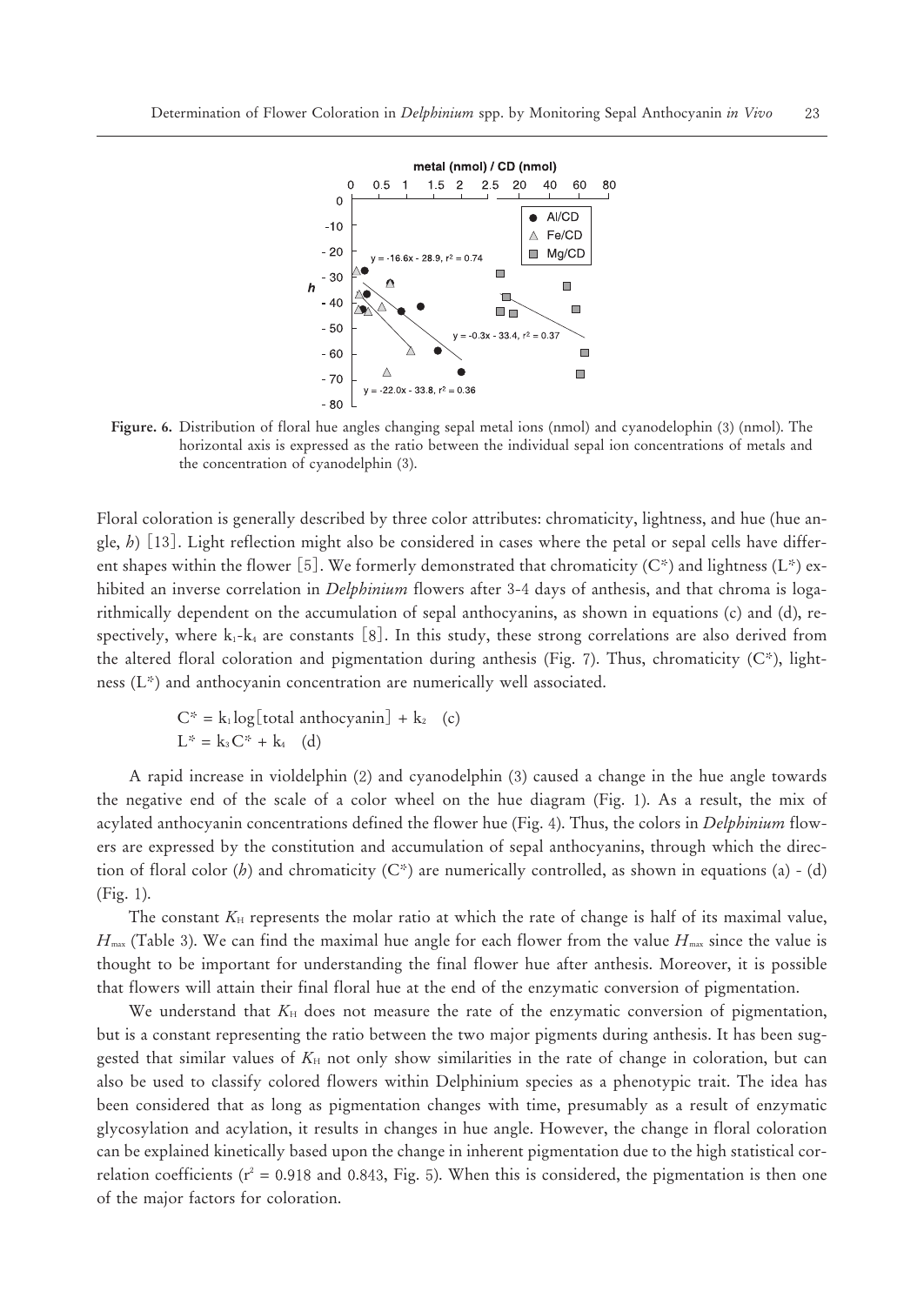

Figure. 6. Distribution of floral hue angles changing sepal metal ions (nmol) and cyanodelophin (3) (nmol). The horizontal axis is expressed as the ratio between the individual sepal ion concentrations of metals and the concentration of cyanodelphin (3).

Floral coloration is generally described by three color attributes: chromaticity, lightness, and hue (hue angle, *h*) []. Light reflection might also be considered in cases where the petal or sepal cells have different shapes within the flower [5]. We formerly demonstrated that chromaticity  $(C^*)$  and lightness (L\*) exhibited an inverse correlation in *Delphinium* flowers after 3-4 days of anthesis, and that chroma is logarithmically dependent on the accumulation of sepal anthocyanins, as shown in equations (c) and (d), respectively, where  $k_1 - k_4$  are constants [8]. In this study, these strong correlations are also derived from the altered floral coloration and pigmentation during anthesis (Fig. 7). Thus, chromaticity  $(C^*)$ , lightness (L\*) and anthocyanin concentration are numerically well associated.

$$
C^* = k_1 \log[\text{total anthocyanin}] + k_2
$$
 (c)  

$$
L^* = k_3 C^* + k_4
$$
 (d)

A rapid increase in violdelphin (2) and cyanodelphin (3) caused a change in the hue angle towards the negative end of the scale of a color wheel on the hue diagram (Fig. ). As a result, the mix of acylated anthocyanin concentrations defined the flower hue (Fig. 4). Thus, the colors in *Delphinium* flowers are expressed by the constitution and accumulation of sepal anthocyanins, through which the direction of floral color (*h*) and chromaticity (C\*) are numerically controlled, as shown in equations (a) - (d)  $(Fig. 1)$ .

The constant  $K_H$  represents the molar ratio at which the rate of change is half of its maximal value,  $H_{\text{max}}$  (Table 3). We can find the maximal hue angle for each flower from the value  $H_{\text{max}}$  since the value is thought to be important for understanding the final flower hue after anthesis. Moreover, it is possible that flowers will attain their final floral hue at the end of the enzymatic conversion of pigmentation.

We understand that  $K_H$  does not measure the rate of the enzymatic conversion of pigmentation, but is a constant representing the ratio between the two major pigments during anthesis. It has been suggested that similar values of  $K_H$  not only show similarities in the rate of change in coloration, but can also be used to classify colored flowers within Delphinium species as a phenotypic trait. The idea has been considered that as long as pigmentation changes with time, presumably as a result of enzymatic glycosylation and acylation, it results in changes in hue angle. However, the change in floral coloration can be explained kinetically based upon the change in inherent pigmentation due to the high statistical correlation coefficients ( $r^2 = 0.918$  and 0.843, Fig. 5). When this is considered, the pigmentation is then one of the major factors for coloration.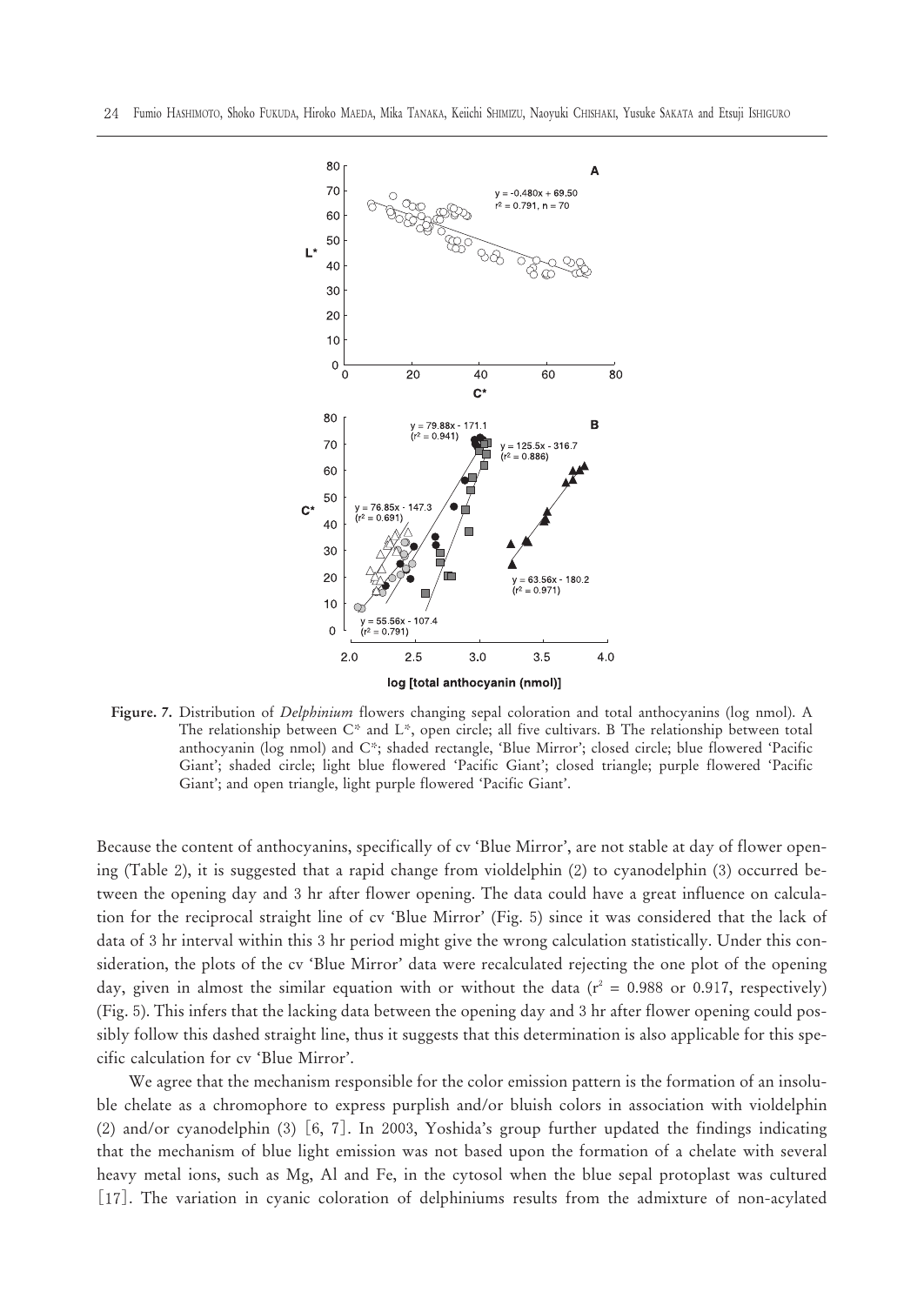

**Figure. 7.** Distribution of *Delphinium* flowers changing sepal coloration and total anthocyanins (log nmol). A The relationship between C\* and L\*, open circle; all five cultivars. B The relationship between total anthocyanin (log nmol) and C\*; shaded rectangle, 'Blue Mirror'; closed circle; blue flowered 'Pacific Giant'; shaded circle; light blue flowered 'Pacific Giant'; closed triangle; purple flowered 'Pacific Giant'; and open triangle, light purple flowered 'Pacific Giant'.

Because the content of anthocyanins, specifically of cv 'Blue Mirror', are not stable at day of flower opening (Table 2), it is suggested that a rapid change from violdelphin  $(2)$  to cyanodelphin  $(3)$  occurred between the opening day and 3 hr after flower opening. The data could have a great influence on calculation for the reciprocal straight line of cv 'Blue Mirror' (Fig. 5) since it was considered that the lack of data of 3 hr interval within this 3 hr period might give the wrong calculation statistically. Under this consideration, the plots of the cv 'Blue Mirror' data were recalculated rejecting the one plot of the opening day, given in almost the similar equation with or without the data ( $r^2 = 0.988$  or 0.917, respectively) (Fig. 5). This infers that the lacking data between the opening day and 3 hr after flower opening could possibly follow this dashed straight line, thus it suggests that this determination is also applicable for this specific calculation for cv 'Blue Mirror'.

We agree that the mechanism responsible for the color emission pattern is the formation of an insoluble chelate as a chromophore to express purplish and/or bluish colors in association with violdelphin (2) and/or cyanodelphin (3)  $[6, 7]$ . In 2003, Yoshida's group further updated the findings indicating that the mechanism of blue light emission was not based upon the formation of a chelate with several heavy metal ions, such as Mg, Al and Fe, in the cytosol when the blue sepal protoplast was cultured [17]. The variation in cyanic coloration of delphiniums results from the admixture of non-acylated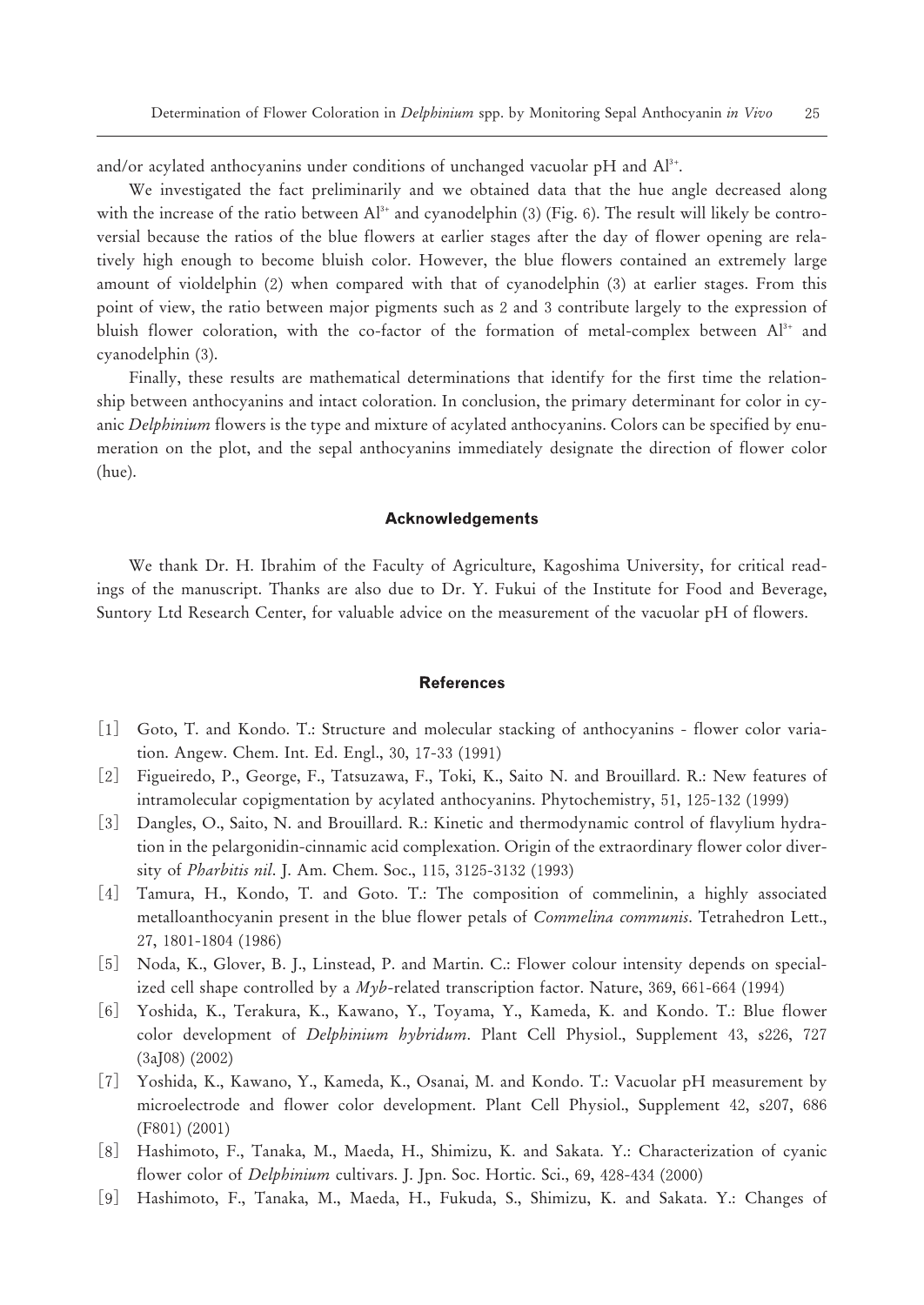and/or acylated anthocyanins under conditions of unchanged vacuolar pH and  $\rm Al^{3+}$ .

We investigated the fact preliminarily and we obtained data that the hue angle decreased along with the increase of the ratio between  $Al^{3+}$  and cyanodelphin (3) (Fig. 6). The result will likely be controversial because the ratios of the blue flowers at earlier stages after the day of flower opening are relatively high enough to become bluish color. However, the blue flowers contained an extremely large amount of violdelphin (2) when compared with that of cyanodelphin (3) at earlier stages. From this point of view, the ratio between major pigments such as 2 and 3 contribute largely to the expression of bluish flower coloration, with the co-factor of the formation of metal-complex between  $Al<sup>3+</sup>$  and cyanodelphin (3).

Finally, these results are mathematical determinations that identify for the first time the relationship between anthocyanins and intact coloration. In conclusion, the primary determinant for color in cyanic *Delphinium* flowers is the type and mixture of acylated anthocyanins. Colors can be specified by enumeration on the plot, and the sepal anthocyanins immediately designate the direction of flower color (hue).

#### **Acknowledgements**

We thank Dr. H. Ibrahim of the Faculty of Agriculture, Kagoshima University, for critical readings of the manuscript. Thanks are also due to Dr. Y. Fukui of the Institute for Food and Beverage, Suntory Ltd Research Center, for valuable advice on the measurement of the vacuolar pH of flowers.

#### **References**

- [] Goto, T. and Kondo. T.: Structure and molecular stacking of anthocyanins flower color variation. Angew. Chem. Int. Ed. Engl., 30, 17-33 (1991)
- [] Figueiredo, P., George, F., Tatsuzawa, F., Toki, K., Saito N. and Brouillard. R.: New features of intramolecular copigmentation by acylated anthocyanins. Phytochemistry,  $51$ ,  $125-132$  (1999)
- [] Dangles, O., Saito, N. and Brouillard. R.: Kinetic and thermodynamic control of flavylium hydration in the pelargonidin-cinnamic acid complexation. Origin of the extraordinary flower color diversity of *Pharbitis nil.* J. Am. Chem. Soc., 115, 3125-3132 (1993)
- [4] Tamura, H., Kondo, T. and Goto. T.: The composition of commelinin, a highly associated metalloanthocyanin present in the blue flower petals of *Commelina communis*. Tetrahedron Lett., 27, 1801-1804 (1986)
- [5] Noda, K., Glover, B. J., Linstead, P. and Martin. C.: Flower colour intensity depends on specialized cell shape controlled by a  $Myb$ -related transcription factor. Nature, 369, 661-664 (1994)
- [6] Yoshida, K., Terakura, K., Kawano, Y., Toyama, Y., Kameda, K. and Kondo. T.: Blue flower color development of *Delphinium hybridum*. Plant Cell Physiol., Supplement 43, s226, 727  $(3a)08)$   $(2002)$
- [] Yoshida, K., Kawano, Y., Kameda, K., Osanai, M. and Kondo. T.: Vacuolar pH measurement by microelectrode and flower color development. Plant Cell Physiol., Supplement 42, s207, 686  $(F801) (2001)$
- [8] Hashimoto, F., Tanaka, M., Maeda, H., Shimizu, K. and Sakata. Y.: Characterization of cyanic flower color of *Delphinium* cultivars. J. Jpn. Soc. Hortic. Sci., 69, 428-434 (2000)
- [] Hashimoto, F., Tanaka, M., Maeda, H., Fukuda, S., Shimizu, K. and Sakata. Y.: Changes of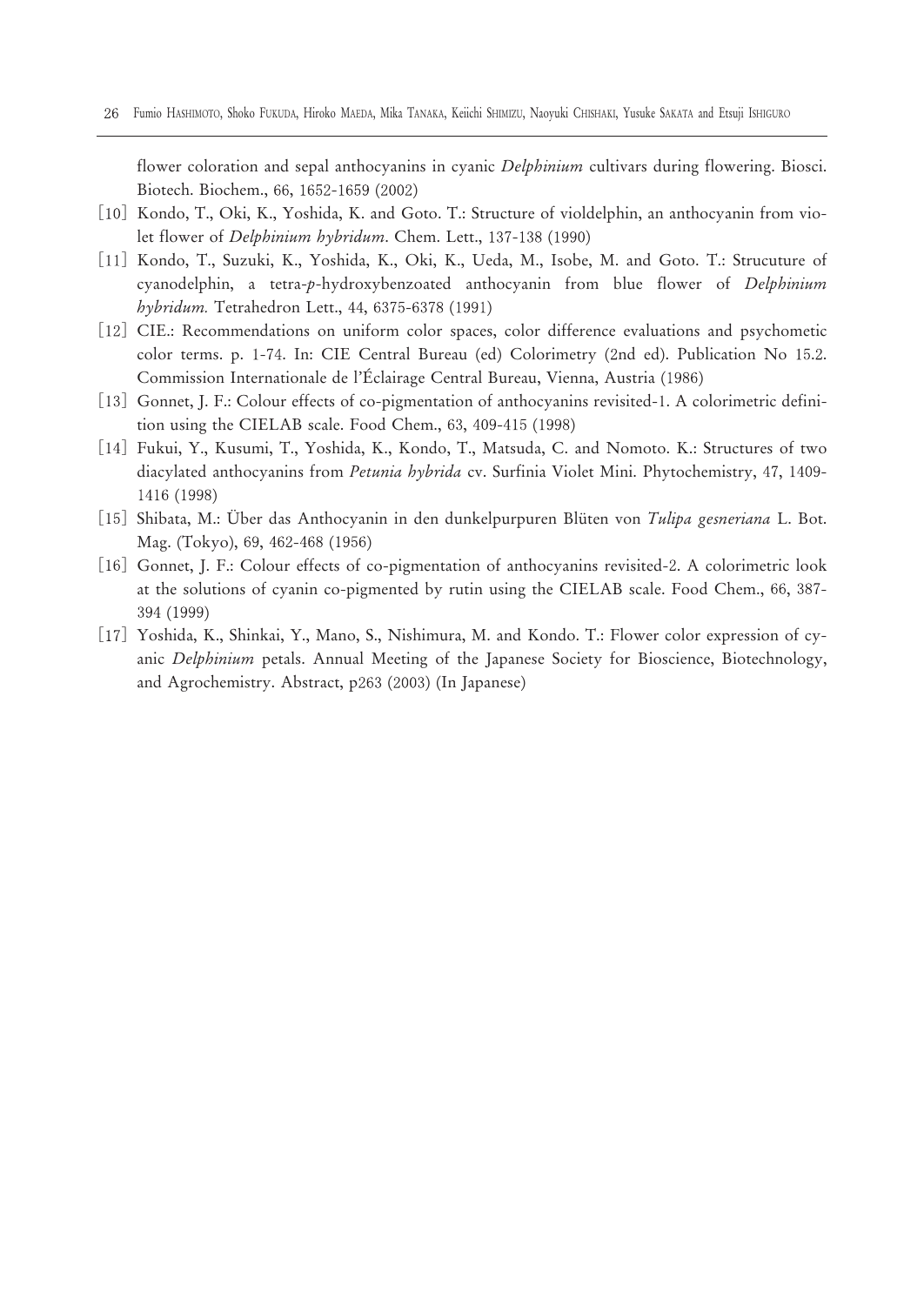flower coloration and sepal anthocyanins in cyanic *Delphinium* cultivars during flowering. Biosci. Biotech. Biochem., 66, 1652-1659 (2002)

- [10] Kondo, T., Oki, K., Yoshida, K. and Goto. T.: Structure of violdelphin, an anthocyanin from violet flower of *Delphinium hybridum*. Chem. Lett., 137-138 (1990)
- [11] Kondo, T., Suzuki, K., Yoshida, K., Oki, K., Ueda, M., Isobe, M. and Goto. T.: Strucuture of cyanodelphin, a tetra-*p*-hydroxybenzoated anthocyanin from blue flower of *Delphinium hybridum.* Tetrahedron Lett., 44, 6375-6378 (1991)
- [12] CIE.: Recommendations on uniform color spaces, color difference evaluations and psychometic color terms. p. 1-74. In: CIE Central Bureau (ed) Colorimetry (2nd ed). Publication No 15.2. Commission Internationale de l'Éclairage Central Bureau, Vienna, Austria (1986)
- [13] Gonnet, J. F.: Colour effects of co-pigmentation of anthocyanins revisited-1. A colorimetric definition using the CIELAB scale. Food Chem.,  $63$ ,  $409-415$  (1998)
- [] Fukui, Y., Kusumi, T., Yoshida, K., Kondo, T., Matsuda, C. and Nomoto. K.: Structures of two diacylated anthocyanins from *Petunia hybrida* cv. Surfinia Violet Mini. Phytochemistry, 47, 1409-1416 (1998)
- [] Shibata, M.: Über das Anthocyanin in den dunkelpurpuren Blüten von *Tulipa gesneriana* L. Bot. Mag. (Tokyo), 69, 462-468 (1956)
- [16] Gonnet, J. F.: Colour effects of co-pigmentation of anthocyanins revisited-2. A colorimetric look at the solutions of cyanin co-pigmented by rutin using the CIELAB scale. Food Chem., 66, 387-394 (1999)
- [17] Yoshida, K., Shinkai, Y., Mano, S., Nishimura, M. and Kondo. T.: Flower color expression of cyanic *Delphinium* petals. Annual Meeting of the Japanese Society for Bioscience, Biotechnology, and Agrochemistry. Abstract, p263 (2003) (In Japanese)